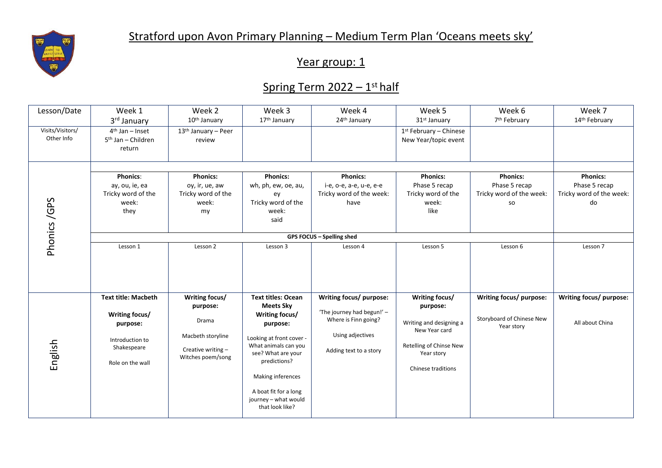

## Year group: 1

## Spring Term 2022 – 1<sup>st</sup> half

| Lesson/Date                    | Week 1                                                                                                         | Week 2                                                                                              | Week 3                                                                                                                                                                                                                                                         | Week 4                                                                                                                      | Week 5                                                                                                                                | Week 6                                                                    | Week 7                                                             |  |  |
|--------------------------------|----------------------------------------------------------------------------------------------------------------|-----------------------------------------------------------------------------------------------------|----------------------------------------------------------------------------------------------------------------------------------------------------------------------------------------------------------------------------------------------------------------|-----------------------------------------------------------------------------------------------------------------------------|---------------------------------------------------------------------------------------------------------------------------------------|---------------------------------------------------------------------------|--------------------------------------------------------------------|--|--|
|                                | 3rd January                                                                                                    | 10 <sup>th</sup> January                                                                            | 17 <sup>th</sup> January                                                                                                                                                                                                                                       | 24 <sup>th</sup> January                                                                                                    | 31 <sup>st</sup> January                                                                                                              | 7 <sup>th</sup> February                                                  | 14th February                                                      |  |  |
| Visits/Visitors/<br>Other Info | $4th$ Jan – Inset<br>5 <sup>th</sup> Jan - Children<br>return                                                  | 13 <sup>th</sup> January - Peer<br>review                                                           |                                                                                                                                                                                                                                                                |                                                                                                                             | $1st$ February – Chinese<br>New Year/topic event                                                                                      |                                                                           |                                                                    |  |  |
| Phonics/GPS                    |                                                                                                                |                                                                                                     |                                                                                                                                                                                                                                                                |                                                                                                                             |                                                                                                                                       |                                                                           |                                                                    |  |  |
|                                | <b>Phonics:</b><br>ay, ou, ie, ea<br>Tricky word of the<br>week:<br>they                                       | <b>Phonics:</b><br>oy, ir, ue, aw<br>Tricky word of the<br>week:<br>my                              | <b>Phonics:</b><br>wh, ph, ew, oe, au,<br>ey<br>Tricky word of the<br>week:<br>said                                                                                                                                                                            | <b>Phonics:</b><br>i-e, o-e, a-e, u-e, e-e<br>Tricky word of the week:<br>have                                              | <b>Phonics:</b><br>Phase 5 recap<br>Tricky word of the<br>week:<br>like                                                               | <b>Phonics:</b><br>Phase 5 recap<br>Tricky word of the week:<br><b>SO</b> | <b>Phonics:</b><br>Phase 5 recap<br>Tricky word of the week:<br>do |  |  |
|                                |                                                                                                                |                                                                                                     |                                                                                                                                                                                                                                                                |                                                                                                                             |                                                                                                                                       |                                                                           |                                                                    |  |  |
|                                | Lesson 1                                                                                                       | Lesson 2                                                                                            | Lesson 3                                                                                                                                                                                                                                                       | Lesson 4                                                                                                                    | Lesson 5                                                                                                                              | Lesson 6                                                                  | Lesson 7                                                           |  |  |
| English                        | <b>Text title: Macbeth</b><br>Writing focus/<br>purpose:<br>Introduction to<br>Shakespeare<br>Role on the wall | Writing focus/<br>purpose:<br>Drama<br>Macbeth storyline<br>Creative writing -<br>Witches poem/song | <b>Text titles: Ocean</b><br><b>Meets Sky</b><br>Writing focus/<br>purpose:<br>Looking at front cover -<br>What animals can you<br>see? What are your<br>predictions?<br>Making inferences<br>A boat fit for a long<br>journey - what would<br>that look like? | Writing focus/ purpose:<br>'The journey had begun!' -<br>Where is Finn going?<br>Using adjectives<br>Adding text to a story | Writing focus/<br>purpose:<br>Writing and designing a<br>New Year card<br>Retelling of Chinse New<br>Year story<br>Chinese traditions | Writing focus/ purpose:<br>Storyboard of Chinese New<br>Year story        | Writing focus/ purpose:<br>All about China                         |  |  |